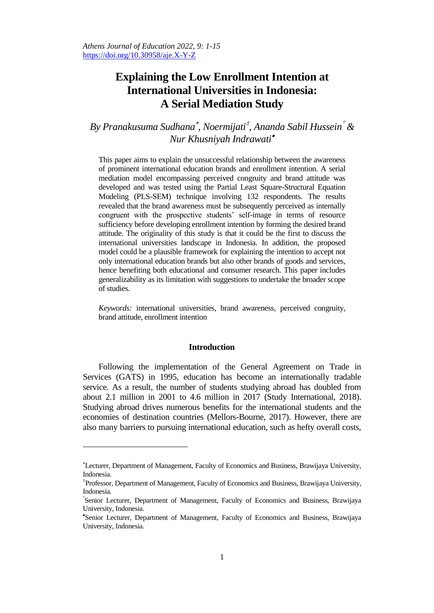# **Explaining the Low Enrollment Intention at International Universities in Indonesia: A Serial Mediation Study**

*By Pranakusuma Sudhana , Noermijati , Ananda Sabil Hussein & Nur Khusniyah Indrawati*

This paper aims to explain the unsuccessful relationship between the awareness of prominent international education brands and enrollment intention. A serial mediation model encompassing perceived congruity and brand attitude was developed and was tested using the Partial Least Square-Structural Equation Modeling (PLS-SEM) technique involving 132 respondents. The results revealed that the brand awareness must be subsequently perceived as internally congruent with the prospective students' self-image in terms of resource sufficiency before developing enrollment intention by forming the desired brand attitude. The originality of this study is that it could be the first to discuss the international universities landscape in Indonesia. In addition, the proposed model could be a plausible framework for explaining the intention to accept not only international education brands but also other brands of goods and services, hence benefiting both educational and consumer research. This paper includes generalizability as its limitation with suggestions to undertake the broader scope of studies.

*Keywords:* international universities, brand awareness, perceived congruity, brand attitude, enrollment intention

#### **Introduction**

Following the implementation of the General Agreement on Trade in Services (GATS) in 1995, education has become an internationally tradable service. As a result, the number of students studying abroad has doubled from about 2.1 million in 2001 to 4.6 million in 2017 (Study International, 2018). Studying abroad drives numerous benefits for the international students and the economies of destination countries (Mellors-Bourne, 2017). However, there are also many barriers to pursuing international education, such as hefty overall costs,

<u>.</u>

Lecturer, Department of Management, Faculty of Economics and Business, Brawijaya University, Indonesia.

Professor, Department of Management, Faculty of Economics and Business, Brawijaya University, Indonesia.

Senior Lecturer, Department of Management, Faculty of Economics and Business, Brawijaya University, Indonesia.

Senior Lecturer, Department of Management, Faculty of Economics and Business, Brawijaya University, Indonesia.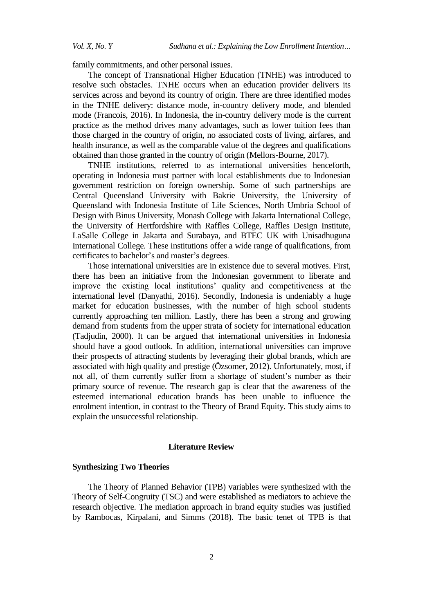family commitments, and other personal issues.

The concept of Transnational Higher Education (TNHE) was introduced to resolve such obstacles. TNHE occurs when an education provider delivers its services across and beyond its country of origin. There are three identified modes in the TNHE delivery: distance mode, in-country delivery mode, and blended mode (Francois, 2016). In Indonesia, the in-country delivery mode is the current practice as the method drives many advantages, such as lower tuition fees than those charged in the country of origin, no associated costs of living, airfares, and health insurance, as well as the comparable value of the degrees and qualifications obtained than those granted in the country of origin (Mellors-Bourne, 2017).

TNHE institutions, referred to as international universities henceforth, operating in Indonesia must partner with local establishments due to Indonesian government restriction on foreign ownership. Some of such partnerships are Central Queensland University with Bakrie University, the University of Queensland with Indonesia Institute of Life Sciences, North Umbria School of Design with Binus University, Monash College with Jakarta International College, the University of Hertfordshire with Raffles College, Raffles Design Institute, LaSalle College in Jakarta and Surabaya, and BTEC UK with Unisadhuguna International College. These institutions offer a wide range of qualifications, from certificates to bachelor's and master's degrees.

Those international universities are in existence due to several motives. First, there has been an initiative from the Indonesian government to liberate and improve the existing local institutions' quality and competitiveness at the international level (Danyathi, 2016). Secondly, Indonesia is undeniably a huge market for education businesses, with the number of high school students currently approaching ten million. Lastly, there has been a strong and growing demand from students from the upper strata of society for international education (Tadjudin, 2000). It can be argued that international universities in Indonesia should have a good outlook. In addition, international universities can improve their prospects of attracting students by leveraging their global brands, which are associated with high quality and prestige (Özsomer, 2012). Unfortunately, most, if not all, of them currently suffer from a shortage of student's number as their primary source of revenue. The research gap is clear that the awareness of the esteemed international education brands has been unable to influence the enrolment intention, in contrast to the Theory of Brand Equity. This study aims to explain the unsuccessful relationship.

#### **Literature Review**

# **Synthesizing Two Theories**

The Theory of Planned Behavior (TPB) variables were synthesized with the Theory of Self-Congruity (TSC) and were established as mediators to achieve the research objective. The mediation approach in brand equity studies was justified by Rambocas, Kirpalani, and Simms (2018). The basic tenet of TPB is that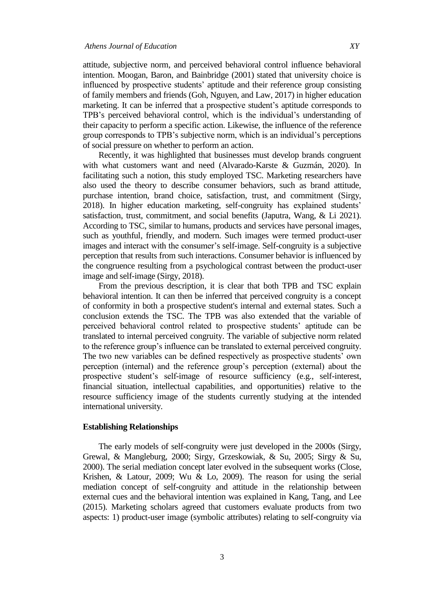attitude, subjective norm, and perceived behavioral control influence behavioral intention. Moogan, Baron, and Bainbridge (2001) stated that university choice is influenced by prospective students' aptitude and their reference group consisting of family members and friends (Goh, Nguyen, and Law, 2017) in higher education marketing. It can be inferred that a prospective student's aptitude corresponds to TPB's perceived behavioral control, which is the individual's understanding of their capacity to perform a specific action. Likewise, the influence of the reference group corresponds to TPB's subjective norm, which is an individual's perceptions of social pressure on whether to perform an action.

Recently, it was highlighted that businesses must develop brands congruent with what customers want and need (Alvarado-Karste & Guzmán, 2020). In facilitating such a notion, this study employed TSC. Marketing researchers have also used the theory to describe consumer behaviors, such as brand attitude, purchase intention, brand choice, satisfaction, trust, and commitment (Sirgy, 2018). In higher education marketing, self-congruity has explained students' satisfaction, trust, commitment, and social benefits (Japutra, Wang, & Li 2021). According to TSC, similar to humans, products and services have personal images, such as youthful, friendly, and modern. Such images were termed product-user images and interact with the consumer's self-image. Self-congruity is a subjective perception that results from such interactions. Consumer behavior is influenced by the congruence resulting from a psychological contrast between the product-user image and self-image (Sirgy, 2018).

From the previous description, it is clear that both TPB and TSC explain behavioral intention. It can then be inferred that perceived congruity is a concept of conformity in both a prospective student's internal and external states. Such a conclusion extends the TSC. The TPB was also extended that the variable of perceived behavioral control related to prospective students' aptitude can be translated to internal perceived congruity. The variable of subjective norm related to the reference group's influence can be translated to external perceived congruity. The two new variables can be defined respectively as prospective students' own perception (internal) and the reference group's perception (external) about the prospective student's self-image of resource sufficiency (e.g., self-interest, financial situation, intellectual capabilities, and opportunities) relative to the resource sufficiency image of the students currently studying at the intended international university.

#### **Establishing Relationships**

The early models of self-congruity were just developed in the 2000s (Sirgy, Grewal, & Mangleburg, 2000; Sirgy, Grzeskowiak, & Su, 2005; Sirgy & Su, 2000). The serial mediation concept later evolved in the subsequent works (Close, Krishen, & Latour, 2009; Wu & Lo, 2009). The reason for using the serial mediation concept of self-congruity and attitude in the relationship between external cues and the behavioral intention was explained in Kang, Tang, and Lee (2015). Marketing scholars agreed that customers evaluate products from two aspects: 1) product-user image (symbolic attributes) relating to self-congruity via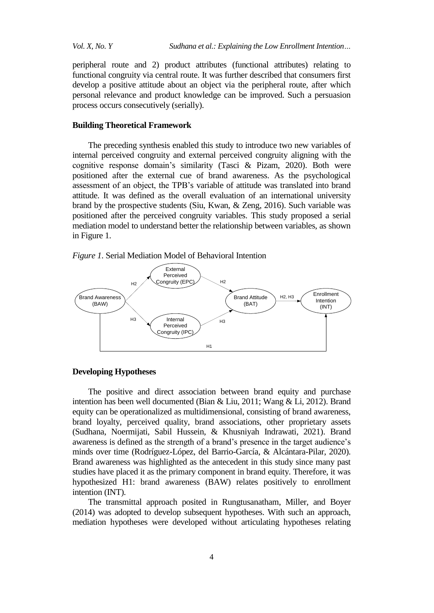peripheral route and 2) product attributes (functional attributes) relating to functional congruity via central route. It was further described that consumers first develop a positive attitude about an object via the peripheral route, after which personal relevance and product knowledge can be improved. Such a persuasion process occurs consecutively (serially).

# **Building Theoretical Framework**

The preceding synthesis enabled this study to introduce two new variables of internal perceived congruity and external perceived congruity aligning with the cognitive response domain's similarity (Tasci & Pizam, 2020). Both were positioned after the external cue of brand awareness. As the psychological assessment of an object, the TPB's variable of attitude was translated into brand attitude. It was defined as the overall evaluation of an international university brand by the prospective students (Siu, Kwan, & Zeng, 2016). Such variable was positioned after the perceived congruity variables. This study proposed a serial mediation model to understand better the relationship between variables, as shown in Figure 1.

*Figure 1*. Serial Mediation Model of Behavioral Intention



#### **Developing Hypotheses**

The positive and direct association between brand equity and purchase intention has been well documented (Bian & Liu, 2011; Wang & Li, 2012). Brand equity can be operationalized as multidimensional, consisting of brand awareness, brand loyalty, perceived quality, brand associations, other proprietary assets (Sudhana, Noermijati, Sabil Hussein, & Khusniyah Indrawati, 2021). Brand awareness is defined as the strength of a brand's presence in the target audience's minds over time (Rodríguez-López, del Barrio-García, & Alcántara-Pilar, 2020). Brand awareness was highlighted as the antecedent in this study since many past studies have placed it as the primary component in brand equity. Therefore, it was hypothesized H1: brand awareness (BAW) relates positively to enrollment intention (INT).

The transmittal approach posited in Rungtusanatham, Miller, and Boyer (2014) was adopted to develop subsequent hypotheses. With such an approach, mediation hypotheses were developed without articulating hypotheses relating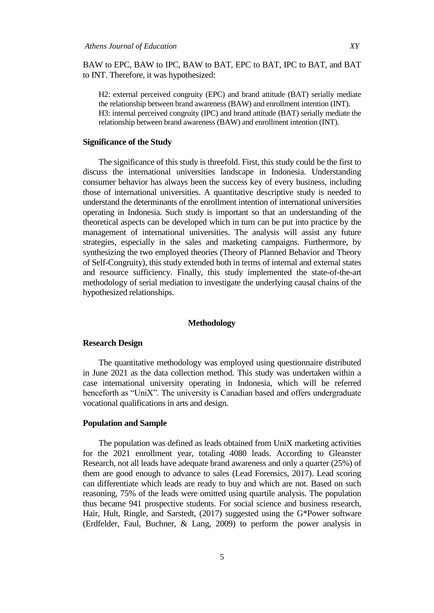BAW to EPC, BAW to IPC, BAW to BAT, EPC to BAT, IPC to BAT, and BAT to INT. Therefore, it was hypothesized:

H2: external perceived congruity (EPC) and brand attitude (BAT) serially mediate the relationship between brand awareness (BAW) and enrollment intention (INT). H3: internal perceived congruity (IPC) and brand attitude (BAT) serially mediate the relationship between brand awareness (BAW) and enrollment intention (INT).

#### **Significance of the Study**

The significance of this study is threefold. First, this study could be the first to discuss the international universities landscape in Indonesia. Understanding consumer behavior has always been the success key of every business, including those of international universities. A quantitative descriptive study is needed to understand the determinants of the enrollment intention of international universities operating in Indonesia. Such study is important so that an understanding of the theoretical aspects can be developed which in turn can be put into practice by the management of international universities. The analysis will assist any future strategies, especially in the sales and marketing campaigns. Furthermore, by synthesizing the two employed theories (Theory of Planned Behavior and Theory of Self-Congruity), this study extended both in terms of internal and external states and resource sufficiency. Finally, this study implemented the state-of-the-art methodology of serial mediation to investigate the underlying causal chains of the hypothesized relationships.

#### **Methodology**

#### **Research Design**

The quantitative methodology was employed using questionnaire distributed in June 2021 as the data collection method. This study was undertaken within a case international university operating in Indonesia, which will be referred henceforth as "UniX". The university is Canadian based and offers undergraduate vocational qualifications in arts and design.

# **Population and Sample**

The population was defined as leads obtained from UniX marketing activities for the 2021 enrollment year, totaling 4080 leads. According to Gleanster Research, not all leads have adequate brand awareness and only a quarter (25%) of them are good enough to advance to sales (Lead Forensics, 2017). Lead scoring can differentiate which leads are ready to buy and which are not. Based on such reasoning, 75% of the leads were omitted using quartile analysis. The population thus became 941 prospective students. For social science and business research, Hair, Hult, Ringle, and Sarstedt, (2017) suggested using the G\*Power software (Erdfelder, Faul, Buchner, & Lang, 2009) to perform the power analysis in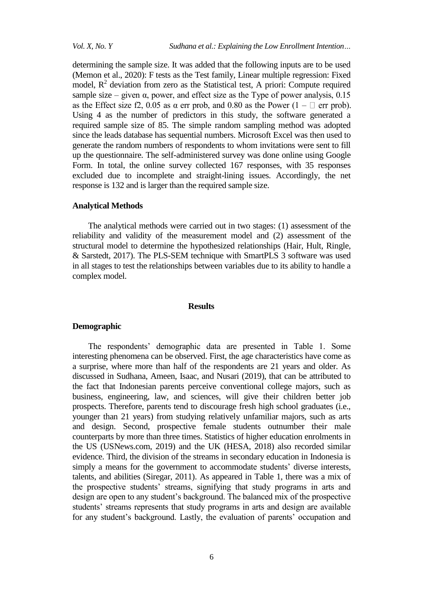determining the sample size. It was added that the following inputs are to be used (Memon et al., 2020): F tests as the Test family, Linear multiple regression: Fixed model,  $R<sup>2</sup>$  deviation from zero as the Statistical test, A priori: Compute required sample size – given  $\alpha$ , power, and effect size as the Type of power analysis, 0.15 as the Effect size f2, 0.05 as  $\alpha$  err prob, and 0.80 as the Power (1 –  $\Box$  err prob). Using 4 as the number of predictors in this study, the software generated a required sample size of 85. The simple random sampling method was adopted since the leads database has sequential numbers. Microsoft Excel was then used to generate the random numbers of respondents to whom invitations were sent to fill up the questionnaire. The self-administered survey was done online using Google Form. In total, the online survey collected 167 responses, with 35 responses excluded due to incomplete and straight-lining issues. Accordingly, the net response is 132 and is larger than the required sample size.

#### **Analytical Methods**

The analytical methods were carried out in two stages: (1) assessment of the reliability and validity of the measurement model and (2) assessment of the structural model to determine the hypothesized relationships (Hair, Hult, Ringle, & Sarstedt, 2017). The PLS-SEM technique with SmartPLS 3 software was used in all stages to test the relationships between variables due to its ability to handle a complex model.

#### **Results**

#### **Demographic**

The respondents' demographic data are presented in Table 1. Some interesting phenomena can be observed. First, the age characteristics have come as a surprise, where more than half of the respondents are 21 years and older. As discussed in Sudhana, Ameen, Isaac, and Nusari (2019), that can be attributed to the fact that Indonesian parents perceive conventional college majors, such as business, engineering, law, and sciences, will give their children better job prospects. Therefore, parents tend to discourage fresh high school graduates (i.e., younger than 21 years) from studying relatively unfamiliar majors, such as arts and design. Second, prospective female students outnumber their male counterparts by more than three times. Statistics of higher education enrolments in the US (USNews.com, 2019) and the UK (HESA, 2018) also recorded similar evidence. Third, the division of the streams in secondary education in Indonesia is simply a means for the government to accommodate students' diverse interests, talents, and abilities (Siregar, 2011). As appeared in Table 1, there was a mix of the prospective students' streams, signifying that study programs in arts and design are open to any student's background. The balanced mix of the prospective students' streams represents that study programs in arts and design are available for any student's background. Lastly, the evaluation of parents' occupation and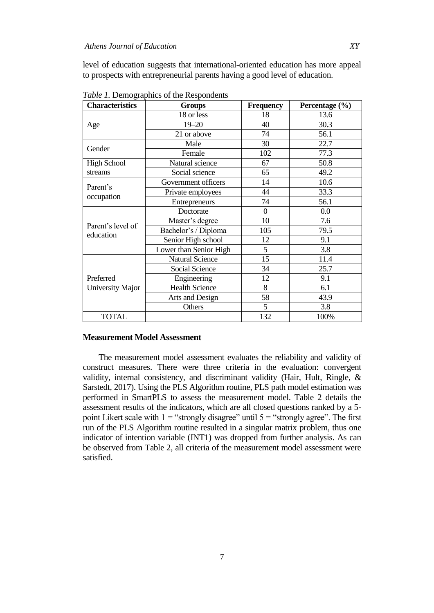level of education suggests that international-oriented education has more appeal to prospects with entrepreneurial parents having a good level of education.

| <b>Characteristics</b>         | <b>Groups</b>           | <b>Frequency</b> | Percentage (%) |  |
|--------------------------------|-------------------------|------------------|----------------|--|
|                                | 18 or less              | 18               | 13.6           |  |
| Age                            | $19 - 20$               | 40               | 30.3           |  |
|                                | 21 or above             | 74               | 56.1           |  |
| Gender                         | Male                    | 30               | 22.7           |  |
|                                | Female                  | 102              | 77.3           |  |
| <b>High School</b>             | Natural science         | 67               | 50.8           |  |
| streams                        | Social science<br>65    |                  | 49.2           |  |
| Parent's                       | Government officers     | 14               | 10.6           |  |
|                                | 44<br>Private employees |                  | 33.3           |  |
| occupation                     | 74<br>Entrepreneurs     |                  | 56.1           |  |
|                                | Doctorate               | $\Omega$         | 0.0            |  |
| Parent's level of<br>education | Master's degree         | 10               | 7.6            |  |
|                                | Bachelor's / Diploma    | 105              | 79.5           |  |
|                                | Senior High school      | 12               | 9.1            |  |
|                                | Lower than Senior High  | 5                | 3.8            |  |
|                                | <b>Natural Science</b>  | 15               | 11.4           |  |
|                                | Social Science          | 34               | 25.7           |  |
| Preferred                      | Engineering             | 12               | 9.1            |  |
| University Major               | <b>Health Science</b>   | 8                | 6.1            |  |
|                                | Arts and Design         | 58               | 43.9           |  |
|                                | Others                  | 5                | 3.8            |  |
| <b>TOTAL</b>                   |                         | 132              | 100%           |  |

*Table 1.* Demographics of the Respondents

#### **Measurement Model Assessment**

The measurement model assessment evaluates the reliability and validity of construct measures. There were three criteria in the evaluation: convergent validity, internal consistency, and discriminant validity (Hair, Hult, Ringle, & Sarstedt, 2017). Using the PLS Algorithm routine, PLS path model estimation was performed in SmartPLS to assess the measurement model. Table 2 details the assessment results of the indicators, which are all closed questions ranked by a 5 point Likert scale with  $1 =$  "strongly disagree" until  $5 =$  "strongly agree". The first run of the PLS Algorithm routine resulted in a singular matrix problem, thus one indicator of intention variable (INT1) was dropped from further analysis. As can be observed from Table 2, all criteria of the measurement model assessment were satisfied.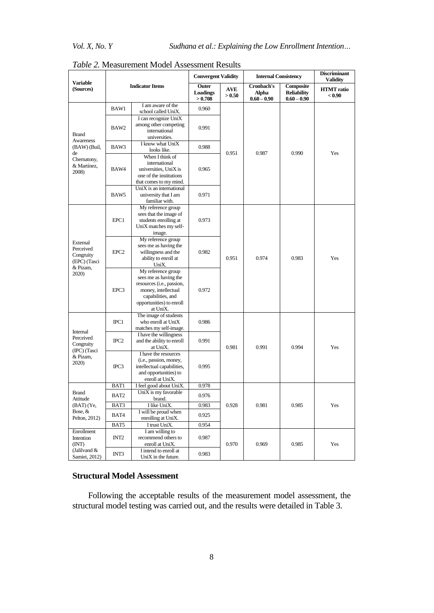|                                                                                        | <b>Indicator Items</b> |                                                                                                                                                              | <b>Convergent Validity</b>   |                      | <b>Internal Consistency</b>          |                                                  | <b>Discriminant</b><br>Validity |
|----------------------------------------------------------------------------------------|------------------------|--------------------------------------------------------------------------------------------------------------------------------------------------------------|------------------------------|----------------------|--------------------------------------|--------------------------------------------------|---------------------------------|
| <b>Variable</b><br>(Sources)                                                           |                        |                                                                                                                                                              | Outer<br>Loadings<br>> 0.708 | <b>AVE</b><br>> 0.50 | Cronbach's<br>Alpha<br>$0.60 - 0.90$ | Composite<br><b>Reliability</b><br>$0.60 - 0.90$ | <b>HTMT</b> ratio<br>< 0.90     |
| <b>Brand</b><br>Awareness<br>(BAW) (Buil,<br>de<br>Chernatony,<br>& Martínez.<br>2008) | BAW1                   | I am aware of the<br>school called UniX.                                                                                                                     | 0.960                        |                      | 0.987                                | 0.990                                            | Yes                             |
|                                                                                        | BAW2                   | I can recognize UniX<br>among other competing<br>international<br>universities.                                                                              | 0.991                        | 0.951                |                                      |                                                  |                                 |
|                                                                                        | BAW3                   | I know what UniX<br>looks like.                                                                                                                              | 0.988                        |                      |                                      |                                                  |                                 |
|                                                                                        | BAW4                   | When I think of<br>international<br>universities, UniX is<br>one of the institutions<br>that comes to my mind.                                               | 0.965                        |                      |                                      |                                                  |                                 |
|                                                                                        | BAW <sub>5</sub>       | UniX is an international<br>university that I am<br>familiar with.                                                                                           | 0.971                        |                      |                                      |                                                  |                                 |
| External<br>Perceived<br>Congruity<br>(EPC) (Tasci<br>& Pizam,<br>2020)                | EPC1                   | My reference group<br>sees that the image of<br>students enrolling at<br>UniX matches my self-<br>image.                                                     | 0.973                        | 0.951                | 0.974                                | 0.983                                            | Yes                             |
|                                                                                        | EPC <sub>2</sub>       | My reference group<br>sees me as having the<br>willingness and the<br>ability to enroll at<br>UniX.                                                          | 0.982                        |                      |                                      |                                                  |                                 |
|                                                                                        | EPC3                   | My reference group<br>sees me as having the<br>resources (i.e., passion,<br>money, intellectual<br>capabilities, and<br>opportunities) to enroll<br>at UniX. | 0.972                        |                      |                                      |                                                  |                                 |
| Internal<br>Perceived<br>Congruity<br>(IPC) (Tasci<br>& Pizam.<br>2020)                | $\text{IPC}1$          | The image of students<br>who enroll at UniX<br>matches my self-image.                                                                                        | 0.986                        | 0.981                | 0.991                                | 0.994                                            | Yes                             |
|                                                                                        | $_{\rm IPC2}$          | I have the willingness<br>and the ability to enroll<br>at UniX.                                                                                              | 0.991                        |                      |                                      |                                                  |                                 |
|                                                                                        | $\text{IPC}3$          | I have the resources<br>(i.e., passion, money,<br>intellectual capabilities,<br>and opportunities) to<br>enroll at UniX.                                     | 0.995                        |                      |                                      |                                                  |                                 |
|                                                                                        | BAT1                   | I feel good about UniX.                                                                                                                                      | 0.978                        | 0.928                | 0.981                                | 0.985                                            | Yes                             |
| <b>Brand</b><br>Attitude<br>$(BAT)$ (Ye,<br>Bose, &<br>Pelton, 2012)                   | BAT2                   | UniX is my favorable<br>brand.                                                                                                                               | 0.976                        |                      |                                      |                                                  |                                 |
|                                                                                        | BAT3                   | I like UniX.                                                                                                                                                 | 0.983                        |                      |                                      |                                                  |                                 |
|                                                                                        | BAT4                   | I will be proud when<br>enrolling at UniX.                                                                                                                   | 0.925                        |                      |                                      |                                                  |                                 |
|                                                                                        | BAT5                   | I trust UniX.                                                                                                                                                | 0.954                        |                      |                                      |                                                  |                                 |
| Enrollment<br>Intention<br>(INT)                                                       | INT <sub>2</sub>       | I am willing to<br>recommend others to<br>enroll at UniX.                                                                                                    | 0.987                        | 0.970                | 0.969                                | 0.985                                            | Yes                             |
| (Jalilvand &<br>Samiei, 2012)                                                          | INT3                   | I intend to enroll at<br>UniX in the future.                                                                                                                 | 0.983                        |                      |                                      |                                                  |                                 |

# *Table 2.* Measurement Model Assessment Results

# **Structural Model Assessment**

Following the acceptable results of the measurement model assessment, the structural model testing was carried out, and the results were detailed in Table 3.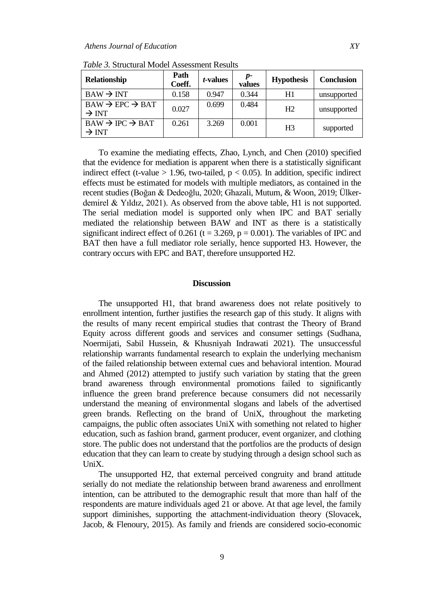| <b>Relationship</b>                                        | Path<br>Coeff. | <i>t</i> -values | $p-$<br>values | <b>Hypothesis</b> | <b>Conclusion</b> |
|------------------------------------------------------------|----------------|------------------|----------------|-------------------|-------------------|
| $BAW \rightarrow INT$                                      | 0.158          | 0.947            | 0.344          | H1                | unsupported       |
| $BAW \rightarrow EPC \rightarrow BAT$<br>$\rightarrow$ INT | 0.027          | 0.699            | 0.484          | H2                | unsupported       |
| $BAW \rightarrow IPC \rightarrow BAT$<br>$\rightarrow$ INT | 0.261          | 3.269            | 0.001          | H <sub>3</sub>    | supported         |

*Table 3.* Structural Model Assessment Results

To examine the mediating effects, Zhao, Lynch, and Chen (2010) specified that the evidence for mediation is apparent when there is a statistically significant indirect effect (t-value  $> 1.96$ , two-tailed,  $p < 0.05$ ). In addition, specific indirect effects must be estimated for models with multiple mediators, as contained in the recent studies (Boğan & Dedeoğlu, 2020; Ghazali, Mutum, & Woon, 2019; Ülkerdemirel & Yıldız, 2021). As observed from the above table, H1 is not supported. The serial mediation model is supported only when IPC and BAT serially mediated the relationship between BAW and INT as there is a statistically significant indirect effect of 0.261 (t = 3.269,  $p = 0.001$ ). The variables of IPC and BAT then have a full mediator role serially, hence supported H3. However, the contrary occurs with EPC and BAT, therefore unsupported H2.

# **Discussion**

The unsupported H1, that brand awareness does not relate positively to enrollment intention, further justifies the research gap of this study. It aligns with the results of many recent empirical studies that contrast the Theory of Brand Equity across different goods and services and consumer settings (Sudhana, Noermijati, Sabil Hussein, & Khusniyah Indrawati 2021). The unsuccessful relationship warrants fundamental research to explain the underlying mechanism of the failed relationship between external cues and behavioral intention. Mourad and Ahmed (2012) attempted to justify such variation by stating that the green brand awareness through environmental promotions failed to significantly influence the green brand preference because consumers did not necessarily understand the meaning of environmental slogans and labels of the advertised green brands. Reflecting on the brand of UniX, throughout the marketing campaigns, the public often associates UniX with something not related to higher education, such as fashion brand, garment producer, event organizer, and clothing store. The public does not understand that the portfolios are the products of design education that they can learn to create by studying through a design school such as UniX.

The unsupported H2, that external perceived congruity and brand attitude serially do not mediate the relationship between brand awareness and enrollment intention, can be attributed to the demographic result that more than half of the respondents are mature individuals aged 21 or above. At that age level, the family support diminishes, supporting the attachment-individuation theory (Slovacek, Jacob, & Flenoury, 2015). As family and friends are considered socio-economic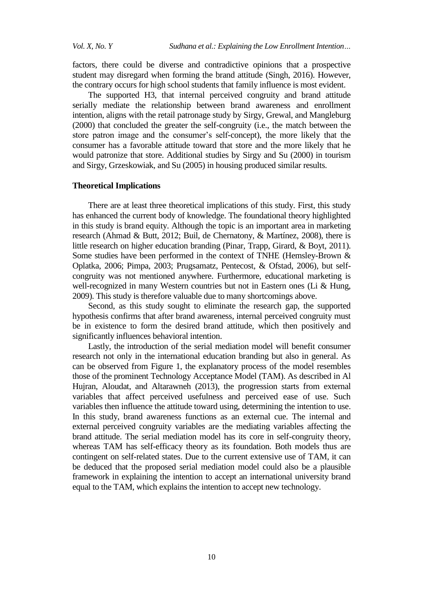factors, there could be diverse and contradictive opinions that a prospective student may disregard when forming the brand attitude (Singh, 2016). However, the contrary occurs for high school students that family influence is most evident.

The supported H3, that internal perceived congruity and brand attitude serially mediate the relationship between brand awareness and enrollment intention, aligns with the retail patronage study by Sirgy, Grewal, and Mangleburg (2000) that concluded the greater the self-congruity (i.e., the match between the store patron image and the consumer's self-concept), the more likely that the consumer has a favorable attitude toward that store and the more likely that he would patronize that store. Additional studies by Sirgy and Su (2000) in tourism and Sirgy, Grzeskowiak, and Su (2005) in housing produced similar results.

#### **Theoretical Implications**

There are at least three theoretical implications of this study. First, this study has enhanced the current body of knowledge. The foundational theory highlighted in this study is brand equity. Although the topic is an important area in marketing research (Ahmad & Butt, 2012; Buil, de Chernatony, & Martínez, 2008), there is little research on higher education branding (Pinar, Trapp, Girard, & Boyt, 2011). Some studies have been performed in the context of TNHE (Hemsley-Brown & Oplatka, 2006; Pimpa, 2003; Prugsamatz, Pentecost, & Ofstad, 2006), but selfcongruity was not mentioned anywhere. Furthermore, educational marketing is well-recognized in many Western countries but not in Eastern ones (Li & Hung, 2009). This study is therefore valuable due to many shortcomings above.

Second, as this study sought to eliminate the research gap, the supported hypothesis confirms that after brand awareness, internal perceived congruity must be in existence to form the desired brand attitude, which then positively and significantly influences behavioral intention.

Lastly, the introduction of the serial mediation model will benefit consumer research not only in the international education branding but also in general. As can be observed from Figure 1, the explanatory process of the model resembles those of the prominent Technology Acceptance Model (TAM). As described in Al Hujran, Aloudat, and Altarawneh (2013), the progression starts from external variables that affect perceived usefulness and perceived ease of use. Such variables then influence the attitude toward using, determining the intention to use. In this study, brand awareness functions as an external cue. The internal and external perceived congruity variables are the mediating variables affecting the brand attitude. The serial mediation model has its core in self-congruity theory, whereas TAM has self-efficacy theory as its foundation. Both models thus are contingent on self-related states. Due to the current extensive use of TAM, it can be deduced that the proposed serial mediation model could also be a plausible framework in explaining the intention to accept an international university brand equal to the TAM, which explains the intention to accept new technology.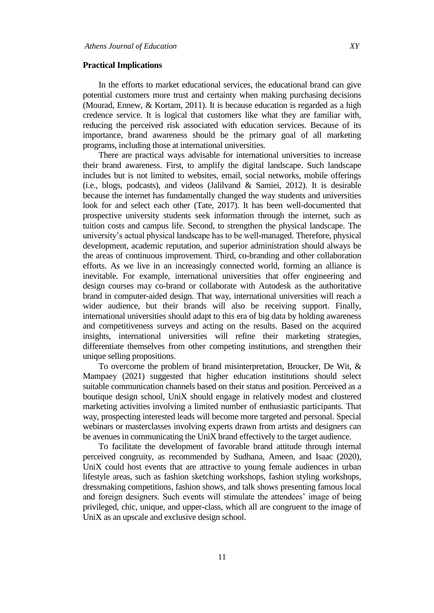#### **Practical Implications**

In the efforts to market educational services, the educational brand can give potential customers more trust and certainty when making purchasing decisions (Mourad, Ennew, & Kortam, 2011). It is because education is regarded as a high credence service. It is logical that customers like what they are familiar with, reducing the perceived risk associated with education services. Because of its importance, brand awareness should be the primary goal of all marketing programs, including those at international universities.

There are practical ways advisable for international universities to increase their brand awareness. First, to amplify the digital landscape. Such landscape includes but is not limited to websites, email, social networks, mobile offerings (i.e., blogs, podcasts), and videos (Jalilvand & Samiei, 2012). It is desirable because the internet has fundamentally changed the way students and universities look for and select each other (Tate, 2017). It has been well-documented that prospective university students seek information through the internet, such as tuition costs and campus life. Second, to strengthen the physical landscape. The university's actual physical landscape has to be well-managed. Therefore, physical development, academic reputation, and superior administration should always be the areas of continuous improvement. Third, co-branding and other collaboration efforts. As we live in an increasingly connected world, forming an alliance is inevitable. For example, international universities that offer engineering and design courses may co-brand or collaborate with Autodesk as the authoritative brand in computer-aided design. That way, international universities will reach a wider audience, but their brands will also be receiving support. Finally, international universities should adapt to this era of big data by holding awareness and competitiveness surveys and acting on the results. Based on the acquired insights, international universities will refine their marketing strategies, differentiate themselves from other competing institutions, and strengthen their unique selling propositions.

To overcome the problem of brand misinterpretation, Broucker, De Wit, & Mampaey (2021) suggested that higher education institutions should select suitable communication channels based on their status and position. Perceived as a boutique design school, UniX should engage in relatively modest and clustered marketing activities involving a limited number of enthusiastic participants. That way, prospecting interested leads will become more targeted and personal. Special webinars or masterclasses involving experts drawn from artists and designers can be avenues in communicating the UniX brand effectively to the target audience.

To facilitate the development of favorable brand attitude through internal perceived congruity, as recommended by Sudhana, Ameen, and Isaac (2020), UniX could host events that are attractive to young female audiences in urban lifestyle areas, such as fashion sketching workshops, fashion styling workshops, dressmaking competitions, fashion shows, and talk shows presenting famous local and foreign designers. Such events will stimulate the attendees' image of being privileged, chic, unique, and upper-class, which all are congruent to the image of UniX as an upscale and exclusive design school.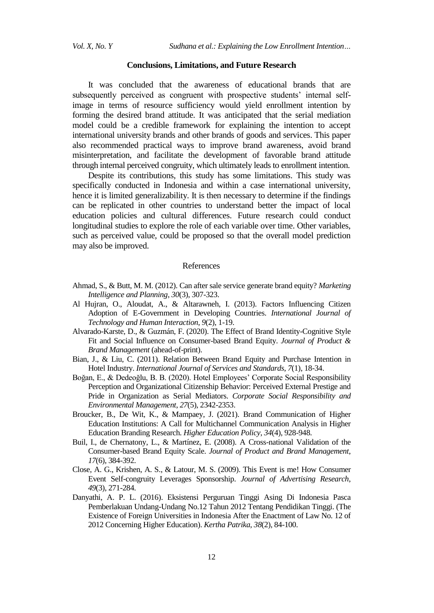#### **Conclusions, Limitations, and Future Research**

It was concluded that the awareness of educational brands that are subsequently perceived as congruent with prospective students' internal selfimage in terms of resource sufficiency would yield enrollment intention by forming the desired brand attitude. It was anticipated that the serial mediation model could be a credible framework for explaining the intention to accept international university brands and other brands of goods and services. This paper also recommended practical ways to improve brand awareness, avoid brand misinterpretation, and facilitate the development of favorable brand attitude through internal perceived congruity, which ultimately leads to enrollment intention.

Despite its contributions, this study has some limitations. This study was specifically conducted in Indonesia and within a case international university, hence it is limited generalizability. It is then necessary to determine if the findings can be replicated in other countries to understand better the impact of local education policies and cultural differences. Future research could conduct longitudinal studies to explore the role of each variable over time. Other variables, such as perceived value, could be proposed so that the overall model prediction may also be improved.

#### References

- Ahmad, S., & Butt, M. M. (2012). Can after sale service generate brand equity? *Marketing Intelligence and Planning*, *30*(3), 307-323.
- Al Hujran, O., Aloudat, A., & Altarawneh, I. (2013). Factors Influencing Citizen Adoption of E-Government in Developing Countries. *International Journal of Technology and Human Interaction*, *9*(2), 1-19.
- Alvarado-Karste, D., & Guzmán, F. (2020). The Effect of Brand Identity-Cognitive Style Fit and Social Influence on Consumer-based Brand Equity. *Journal of Product & Brand Management* (ahead-of-print).
- Bian, J., & Liu, C. (2011). Relation Between Brand Equity and Purchase Intention in Hotel Industry. *International Journal of Services and Standards*, *7*(1), 18-34.
- Boğan, E., & Dedeoğlu, B. B. (2020). Hotel Employees' Corporate Social Responsibility Perception and Organizational Citizenship Behavior: Perceived External Prestige and Pride in Organization as Serial Mediators. *Corporate Social Responsibility and Environmental Management*, *27*(5), 2342-2353.
- Broucker, B., De Wit, K., & Mampaey, J. (2021). Brand Communication of Higher Education Institutions: A Call for Multichannel Communication Analysis in Higher Education Branding Research. *Higher Education Policy*, *34*(4), 928-948.
- Buil, I., de Chernatony, L., & Martínez, E. (2008). A Cross-national Validation of the Consumer-based Brand Equity Scale. *Journal of Product and Brand Management*, *17*(6), 384-392.
- Close, A. G., Krishen, A. S., & Latour, M. S. (2009). This Event is me! How Consumer Event Self-congruity Leverages Sponsorship. *Journal of Advertising Research*, *49*(3), 271-284.
- Danyathi, A. P. L. (2016). Eksistensi Perguruan Tinggi Asing Di Indonesia Pasca Pemberlakuan Undang-Undang No.12 Tahun 2012 Tentang Pendidikan Tinggi. (The Existence of Foreign Universities in Indonesia After the Enactment of Law No. 12 of 2012 Concerning Higher Education). *Kertha Patrika*, *38*(2), 84-100.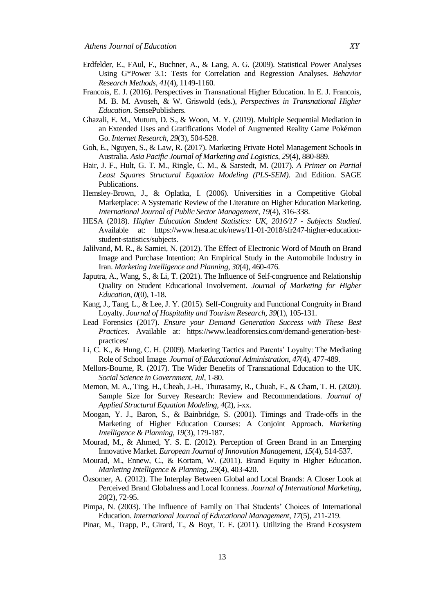- Erdfelder, E., FAul, F., Buchner, A., & Lang, A. G. (2009). Statistical Power Analyses Using G\*Power 3.1: Tests for Correlation and Regression Analyses. *Behavior Research Methods*, *41*(4), 1149-1160.
- Francois, E. J. (2016). Perspectives in Transnational Higher Education. In E. J. Francois, M. B. M. Avoseh, & W. Griswold (eds.), *Perspectives in Transnational Higher Education*. SensePublishers.
- Ghazali, E. M., Mutum, D. S., & Woon, M. Y. (2019). Multiple Sequential Mediation in an Extended Uses and Gratifications Model of Augmented Reality Game Pokémon Go. *Internet Research*, *29*(3), 504-528.
- Goh, E., Nguyen, S., & Law, R. (2017). Marketing Private Hotel Management Schools in Australia. *Asia Pacific Journal of Marketing and Logistics*, *29*(4), 880-889.
- Hair, J. F., Hult, G. T. M., Ringle, C. M., & Sarstedt, M. (2017). *A Primer on Partial Least Squares Structural Equation Modeling (PLS-SEM)*. 2nd Edition. SAGE Publications.
- Hemsley-Brown, J., & Oplatka, I. (2006). Universities in a Competitive Global Marketplace: A Systematic Review of the Literature on Higher Education Marketing. *International Journal of Public Sector Management*, *19*(4), 316-338.
- HESA (2018). *Higher Education Student Statistics: UK, 2016/17 - Subjects Studied*. Available at: https://www.hesa.ac.uk/news/11-01-2018/sfr247-higher-educationstudent-statistics/subjects.
- Jalilvand, M. R., & Samiei, N. (2012). The Effect of Electronic Word of Mouth on Brand Image and Purchase Intention: An Empirical Study in the Automobile Industry in Iran. *Marketing Intelligence and Planning*, *30*(4), 460-476.
- Japutra, A., Wang, S., & Li, T. (2021). The Influence of Self-congruence and Relationship Quality on Student Educational Involvement. *Journal of Marketing for Higher Education*, *0*(0), 1-18.
- Kang, J., Tang, L., & Lee, J. Y. (2015). Self-Congruity and Functional Congruity in Brand Loyalty. *Journal of Hospitality and Tourism Research*, *39*(1), 105-131.
- Lead Forensics (2017). *Ensure your Demand Generation Success with These Best Practices*. Available at: https://www.leadforensics.com/demand-generation-bestpractices/
- Li, C. K., & Hung, C. H. (2009). Marketing Tactics and Parents' Loyalty: The Mediating Role of School Image. *Journal of Educational Administration*, *47*(4), 477-489.
- Mellors-Bourne, R. (2017). The Wider Benefits of Transnational Education to the UK. *Social Science in Government*, *Jul*, 1-80.
- Memon, M. A., Ting, H., Cheah, J.-H., Thurasamy, R., Chuah, F., & Cham, T. H. (2020). Sample Size for Survey Research: Review and Recommendations. *Journal of Applied Structural Equation Modeling*, *4*(2), i-xx.
- Moogan, Y. J., Baron, S., & Bainbridge, S. (2001). Timings and Trade-offs in the Marketing of Higher Education Courses: A Conjoint Approach. *Marketing Intelligence & Planning*, *19*(3), 179-187.
- Mourad, M., & Ahmed, Y. S. E. (2012). Perception of Green Brand in an Emerging Innovative Market. *European Journal of Innovation Management*, *15*(4), 514-537.
- Mourad, M., Ennew, C., & Kortam, W. (2011). Brand Equity in Higher Education. *Marketing Intelligence & Planning*, *29*(4), 403-420.
- Özsomer, A. (2012). The Interplay Between Global and Local Brands: A Closer Look at Perceived Brand Globalness and Local Iconness. *Journal of International Marketing*, *20*(2), 72-95.
- Pimpa, N. (2003). The Influence of Family on Thai Students' Choices of International Education. *International Journal of Educational Management*, *17*(5), 211-219.
- Pinar, M., Trapp, P., Girard, T., & Boyt, T. E. (2011). Utilizing the Brand Ecosystem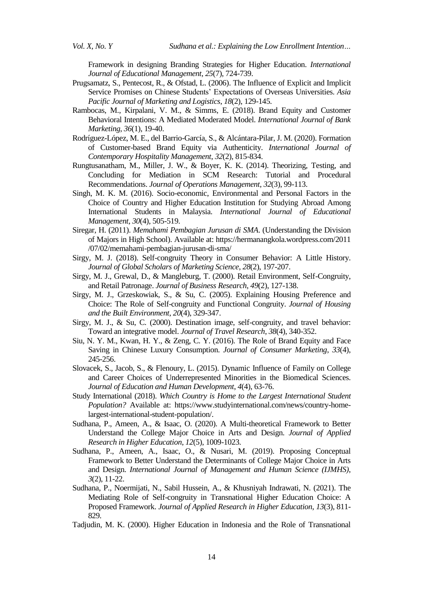Framework in designing Branding Strategies for Higher Education. *International Journal of Educational Management*, *25*(7), 724-739.

- Prugsamatz, S., Pentecost, R., & Ofstad, L. (2006). The Influence of Explicit and Implicit Service Promises on Chinese Students' Expectations of Overseas Universities. *Asia Pacific Journal of Marketing and Logistics*, *18*(2), 129-145.
- Rambocas, M., Kirpalani, V. M., & Simms, E. (2018). Brand Equity and Customer Behavioral Intentions: A Mediated Moderated Model. *International Journal of Bank Marketing*, *36*(1), 19-40.
- Rodríguez-López, M. E., del Barrio-García, S., & Alcántara-Pilar, J. M. (2020). Formation of Customer-based Brand Equity via Authenticity. *International Journal of Contemporary Hospitality Management*, *32*(2), 815-834.
- Rungtusanatham, M., Miller, J. W., & Boyer, K. K. (2014). Theorizing, Testing, and Concluding for Mediation in SCM Research: Tutorial and Procedural Recommendations. *Journal of Operations Management*, *32*(3), 99-113.
- Singh, M. K. M. (2016). Socio-economic, Environmental and Personal Factors in the Choice of Country and Higher Education Institution for Studying Abroad Among International Students in Malaysia. *International Journal of Educational Management*, *30*(4), 505-519.
- Siregar, H. (2011). *Memahami Pembagian Jurusan di SMA*. (Understanding the Division of Majors in High School). Available at: https://hermanangkola.wordpress.com/2011 /07/02/memahami-pembagian-jurusan-di-sma/
- Sirgy, M. J. (2018). Self-congruity Theory in Consumer Behavior: A Little History. *Journal of Global Scholars of Marketing Science*, *28*(2), 197-207.
- Sirgy, M. J., Grewal, D., & Mangleburg, T. (2000). Retail Environment, Self-Congruity, and Retail Patronage. *Journal of Business Research*, *49*(2), 127-138.
- Sirgy, M. J., Grzeskowiak, S., & Su, C. (2005). Explaining Housing Preference and Choice: The Role of Self-congruity and Functional Congruity. *Journal of Housing and the Built Environment*, *20*(4), 329-347.
- Sirgy, M. J., & Su, C. (2000). Destination image, self-congruity, and travel behavior: Toward an integrative model. *Journal of Travel Research*, *38*(4), 340-352.
- Siu, N. Y. M., Kwan, H. Y., & Zeng, C. Y. (2016). The Role of Brand Equity and Face Saving in Chinese Luxury Consumption. *Journal of Consumer Marketing*, *33*(4), 245-256.
- Slovacek, S., Jacob, S., & Flenoury, L. (2015). Dynamic Influence of Family on College and Career Choices of Underrepresented Minorities in the Biomedical Sciences. *Journal of Education and Human Development*, *4*(4), 63-76.
- Study International (2018). *Which Country is Home to the Largest International Student Population?* Available at: https://www.studyinternational.com/news/country-homelargest-international-student-population/.
- Sudhana, P., Ameen, A., & Isaac, O. (2020). A Multi-theoretical Framework to Better Understand the College Major Choice in Arts and Design. *Journal of Applied Research in Higher Education*, *12*(5), 1009-1023.
- Sudhana, P., Ameen, A., Isaac, O., & Nusari, M. (2019). Proposing Conceptual Framework to Better Understand the Determinants of College Major Choice in Arts and Design. *International Journal of Management and Human Science (IJMHS)*, *3*(2), 11-22.
- Sudhana, P., Noermijati, N., Sabil Hussein, A., & Khusniyah Indrawati, N. (2021). The Mediating Role of Self-congruity in Transnational Higher Education Choice: A Proposed Framework. *Journal of Applied Research in Higher Education*, *13*(3), 811- 829.
- Tadjudin, M. K. (2000). Higher Education in Indonesia and the Role of Transnational